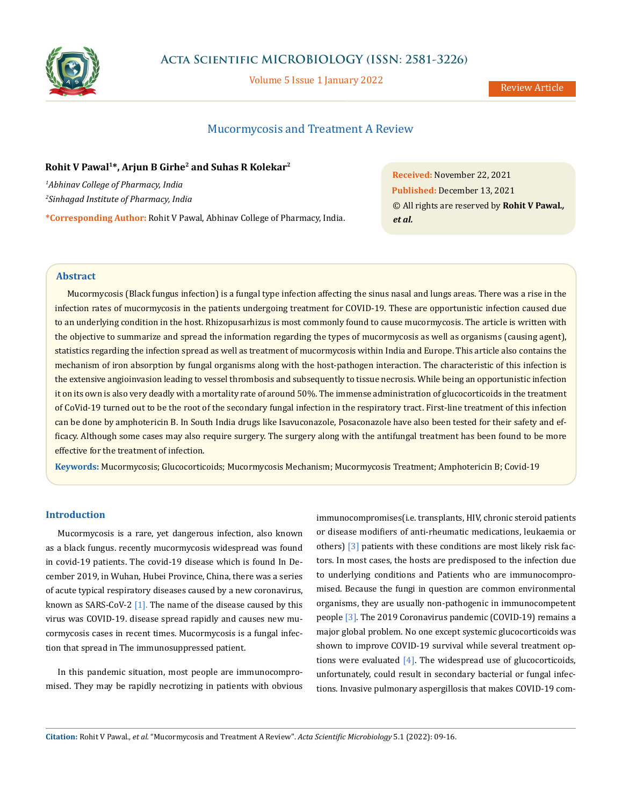

# **Acta Scientific MICROBIOLOGY (ISSN: 2581-3226)**

Volume 5 Issue 1 January 2022

# Mucormycosis and Treatment A Review

# **Rohit V Pawal1\*, Arjun B Girhe2 and Suhas R Kolekar2**

*1 Abhinav College of Pharmacy, India 2 Sinhagad Institute of Pharmacy, India*

**\*Corresponding Author:** Rohit V Pawal, Abhinav College of Pharmacy, India.

**Received:** November 22, 2021 **Published:** December 13, 2021 © All rights are reserved by **Rohit V Pawal***., et al.*

# **Abstract**

Mucormycosis (Black fungus infection) is a fungal type infection affecting the sinus nasal and lungs areas. There was a rise in the infection rates of mucormycosis in the patients undergoing treatment for COVID-19. These are opportunistic infection caused due to an underlying condition in the host. Rhizopusarhizus is most commonly found to cause mucormycosis. The article is written with the objective to summarize and spread the information regarding the types of mucormycosis as well as organisms (causing agent), statistics regarding the infection spread as well as treatment of mucormycosis within India and Europe. This article also contains the mechanism of iron absorption by fungal organisms along with the host-pathogen interaction. The characteristic of this infection is the extensive angioinvasion leading to vessel thrombosis and subsequently to tissue necrosis. While being an opportunistic infection it on its own is also very deadly with a mortality rate of around 50%. The immense administration of glucocorticoids in the treatment of CoVid-19 turned out to be the root of the secondary fungal infection in the respiratory tract. First-line treatment of this infection can be done by amphotericin B. In South India drugs like Isavuconazole, Posaconazole have also been tested for their safety and efficacy. Although some cases may also require surgery. The surgery along with the antifungal treatment has been found to be more effective for the treatment of infection.

**Keywords:** Mucormycosis; Glucocorticoids; Mucormycosis Mechanism; Mucormycosis Treatment; Amphotericin B; Covid-19

# **Introduction**

Mucormycosis is a rare, yet dangerous infection, also known as a black fungus. recently mucormycosis widespread was found in covid-19 patients. The covid-19 disease which is found In December 2019, in Wuhan, Hubei Province, China, there was a series of acute typical respiratory diseases caused by a new coronavirus, known as SARS-CoV-2  $[1]$ . The name of the disease caused by this virus was COVID-19. disease spread rapidly and causes new mucormycosis cases in recent times. Mucormycosis is a fungal infection that spread in The immunosuppressed patient.

In this pandemic situation, most people are immunocompromised. They may be rapidly necrotizing in patients with obvious immunocompromises(i.e. transplants, HIV, chronic steroid patients or disease modifiers of anti-rheumatic medications, leukaemia or others) [3] patients with these conditions are most likely risk factors. In most cases, the hosts are predisposed to the infection due to underlying conditions and Patients who are immunocompromised. Because the fungi in question are common environmental organisms, they are usually non-pathogenic in immunocompetent people [3]. The 2019 Coronavirus pandemic (COVID-19) remains a major global problem. No one except systemic glucocorticoids was shown to improve COVID-19 survival while several treatment options were evaluated [4]. The widespread use of glucocorticoids, unfortunately, could result in secondary bacterial or fungal infections. Invasive pulmonary aspergillosis that makes COVID-19 com-

**Citation:** Rohit V Pawal*., et al.* "Mucormycosis and Treatment A Review". *Acta Scientific Microbiology* 5.1 (2022): 09-16.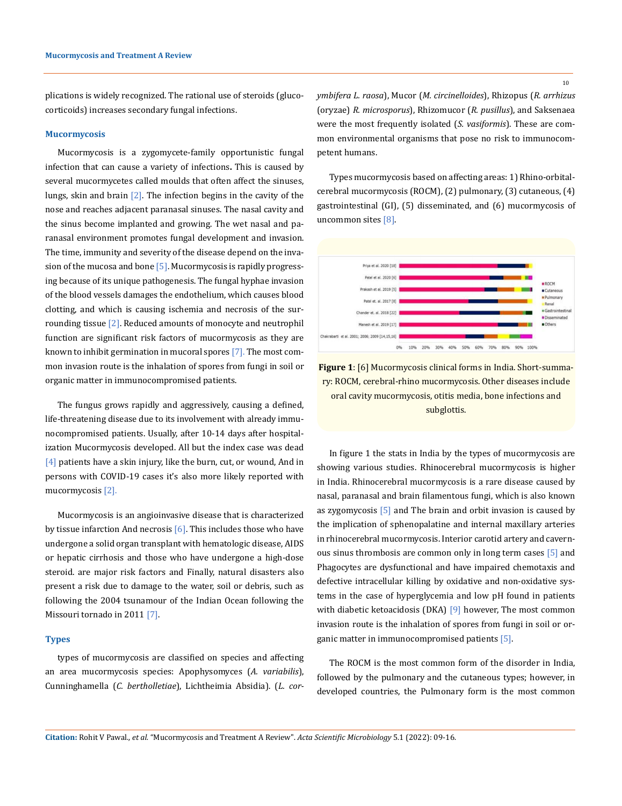plications is widely recognized. The rational use of steroids (glucocorticoids) increases secondary fungal infections.

#### **Mucormycosis**

Mucormycosis is a zygomycete-family opportunistic fungal infection that can cause a variety of infections**.** This is caused by several mucormycetes called moulds that often affect the sinuses, lungs, skin and brain  $[2]$ . The infection begins in the cavity of the nose and reaches adjacent paranasal sinuses. The nasal cavity and the sinus become implanted and growing. The wet nasal and paranasal environment promotes fungal development and invasion. The time, immunity and severity of the disease depend on the invasion of the mucosa and bone  $[5]$ . Mucormycosis is rapidly progressing because of its unique pathogenesis. The fungal hyphae invasion of the blood vessels damages the endothelium, which causes blood clotting, and which is causing ischemia and necrosis of the surrounding tissue [2]. Reduced amounts of monocyte and neutrophil function are significant risk factors of mucormycosis as they are known to inhibit germination in mucoral spores [7]. The most common invasion route is the inhalation of spores from fungi in soil or organic matter in immunocompromised patients.

The fungus grows rapidly and aggressively, causing a defined, life-threatening disease due to its involvement with already immunocompromised patients. Usually, after 10-14 days after hospitalization Mucormycosis developed. All but the index case was dead [4] patients have a skin injury, like the burn, cut, or wound, And in persons with COVID-19 cases it's also more likely reported with mucormycosis [2].

Mucormycosis is an angioinvasive disease that is characterized by tissue infarction And necrosis [6]. This includes those who have undergone a solid organ transplant with hematologic disease, AIDS or hepatic cirrhosis and those who have undergone a high-dose steroid. are major risk factors and Finally, natural disasters also present a risk due to damage to the water, soil or debris, such as following the 2004 tsunamour of the Indian Ocean following the Missouri tornado in 2011 [7].

#### **Types**

types of mucormycosis are classified on species and affecting an area mucormycosis species: Apophysomyces (*A. variabilis*), Cunninghamella (*C. bertholletiae*), Lichtheimia Absidia). (*L. cor-* *ymbifera L. raosa*), Mucor (*M. circinelloides*), Rhizopus (*R. arrhizus* (oryzae) *R. microsporus*), Rhizomucor (*R. pusillus*), and Saksenaea were the most frequently isolated (*S. vasiformis*). These are common environmental organisms that pose no risk to immunocompetent humans.

Types mucormycosis based on affecting areas: 1) Rhino-orbitalcerebral mucormycosis (ROCM), (2) pulmonary, (3) cutaneous, (4) gastrointestinal (GI), (5) disseminated, and (6) mucormycosis of uncommon sites [8].



**Figure 1**: [6] Mucormycosis clinical forms in India. Short-summary: ROCM, cerebral-rhino mucormycosis. Other diseases include oral cavity mucormycosis, otitis media, bone infections and subglottis.

In figure 1 the stats in India by the types of mucormycosis are showing various studies. Rhinocerebral mucormycosis is higher in India. Rhinocerebral mucormycosis is a rare disease caused by nasal, paranasal and brain filamentous fungi, which is also known as zygomycosis [5] and The brain and orbit invasion is caused by the implication of sphenopalatine and internal maxillary arteries in rhinocerebral mucormycosis. Interior carotid artery and cavernous sinus thrombosis are common only in long term cases [5] and Phagocytes are dysfunctional and have impaired chemotaxis and defective intracellular killing by oxidative and non-oxidative systems in the case of hyperglycemia and low pH found in patients with diabetic ketoacidosis (DKA) [9] however, The most common invasion route is the inhalation of spores from fungi in soil or organic matter in immunocompromised patients [5].

The ROCM is the most common form of the disorder in India, followed by the pulmonary and the cutaneous types; however, in developed countries, the Pulmonary form is the most common

**Citation:** Rohit V Pawal*., et al.* "Mucormycosis and Treatment A Review". *Acta Scientific Microbiology* 5.1 (2022): 09-16.

10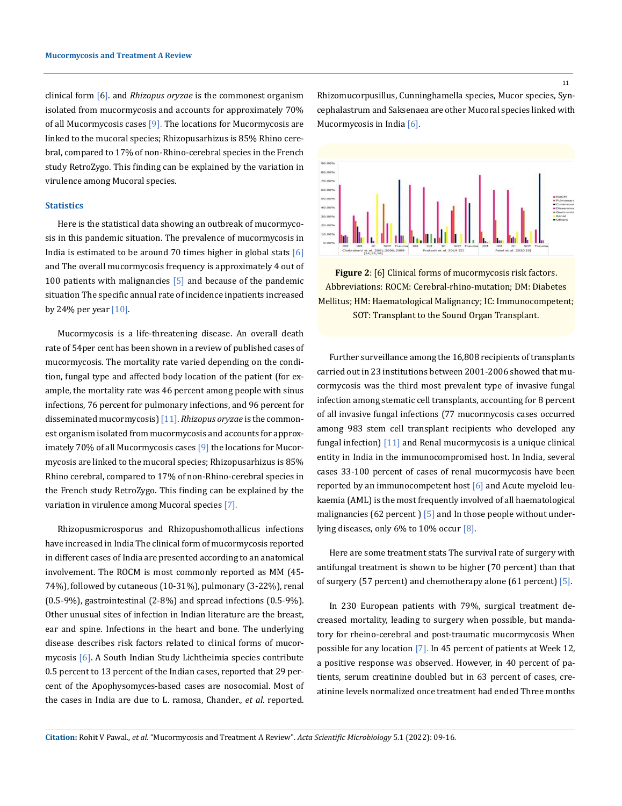clinical form [6]. and *Rhizopus oryzae* is the commonest organism isolated from mucormycosis and accounts for approximately 70% of all Mucormycosis cases  $[9]$ . The locations for Mucormycosis are linked to the mucoral species; Rhizopusarhizus is 85% Rhino cerebral, compared to 17% of non-Rhino-cerebral species in the French study RetroZygo. This finding can be explained by the variation in virulence among Mucoral species.

# **Statistics**

Here is the statistical data showing an outbreak of mucormycosis in this pandemic situation. The prevalence of mucormycosis in India is estimated to be around 70 times higher in global stats  $[6]$ and The overall mucormycosis frequency is approximately 4 out of 100 patients with malignancies  $[5]$  and because of the pandemic situation The specific annual rate of incidence inpatients increased by 24% per year  $[10]$ .

Mucormycosis is a life-threatening disease. An overall death rate of 54per cent has been shown in a review of published cases of mucormycosis. The mortality rate varied depending on the condition, fungal type and affected body location of the patient (for example, the mortality rate was 46 percent among people with sinus infections, 76 percent for pulmonary infections, and 96 percent for disseminated mucormycosis) [11]. *Rhizopus oryzae* is the commonest organism isolated from mucormycosis and accounts for approximately 70% of all Mucormycosis cases [9] the locations for Mucormycosis are linked to the mucoral species; Rhizopusarhizus is 85% Rhino cerebral, compared to 17% of non-Rhino-cerebral species in the French study RetroZygo. This finding can be explained by the variation in virulence among Mucoral species [7].

Rhizopusmicrosporus and Rhizopushomothallicus infections have increased in India The clinical form of mucormycosis reported in different cases of India are presented according to an anatomical involvement. The ROCM is most commonly reported as MM (45- 74%), followed by cutaneous (10-31%), pulmonary (3-22%), renal (0.5-9%), gastrointestinal (2-8%) and spread infections (0.5-9%). Other unusual sites of infection in Indian literature are the breast, ear and spine. Infections in the heart and bone. The underlying disease describes risk factors related to clinical forms of mucormycosis [6]. A South Indian Study Lichtheimia species contribute 0.5 percent to 13 percent of the Indian cases, reported that 29 percent of the Apophysomyces-based cases are nosocomial. Most of the cases in India are due to L. ramosa, Chander., *et al*. reported.

Rhizomucorpusillus, Cunninghamella species, Mucor species, Syncephalastrum and Saksenaea are other Mucoral species linked with Mucormycosis in India [6].



**Figure 2**: [6] Clinical forms of mucormycosis risk factors. Abbreviations: ROCM: Cerebral-rhino-mutation; DM: Diabetes Mellitus; HM: Haematological Malignancy; IC: Immunocompetent; SOT: Transplant to the Sound Organ Transplant.

Further surveillance among the 16,808 recipients of transplants carried out in 23 institutions between 2001-2006 showed that mucormycosis was the third most prevalent type of invasive fungal infection among stematic cell transplants, accounting for 8 percent of all invasive fungal infections (77 mucormycosis cases occurred among 983 stem cell transplant recipients who developed any fungal infection) [11] and Renal mucormycosis is a unique clinical entity in India in the immunocompromised host. In India, several cases 33-100 percent of cases of renal mucormycosis have been reported by an immunocompetent host  $[6]$  and Acute myeloid leukaemia (AML) is the most frequently involved of all haematological malignancies (62 percent) [5] and In those people without underlying diseases, only 6% to 10% occur [8].

Here are some treatment stats The survival rate of surgery with antifungal treatment is shown to be higher (70 percent) than that of surgery (57 percent) and chemotherapy alone (61 percent) [5].

In 230 European patients with 79%, surgical treatment decreased mortality, leading to surgery when possible, but mandatory for rheino-cerebral and post-traumatic mucormycosis When possible for any location [7]. In 45 percent of patients at Week 12, a positive response was observed. However, in 40 percent of patients, serum creatinine doubled but in 63 percent of cases, creatinine levels normalized once treatment had ended Three months

**Citation:** Rohit V Pawal*., et al.* "Mucormycosis and Treatment A Review". *Acta Scientific Microbiology* 5.1 (2022): 09-16.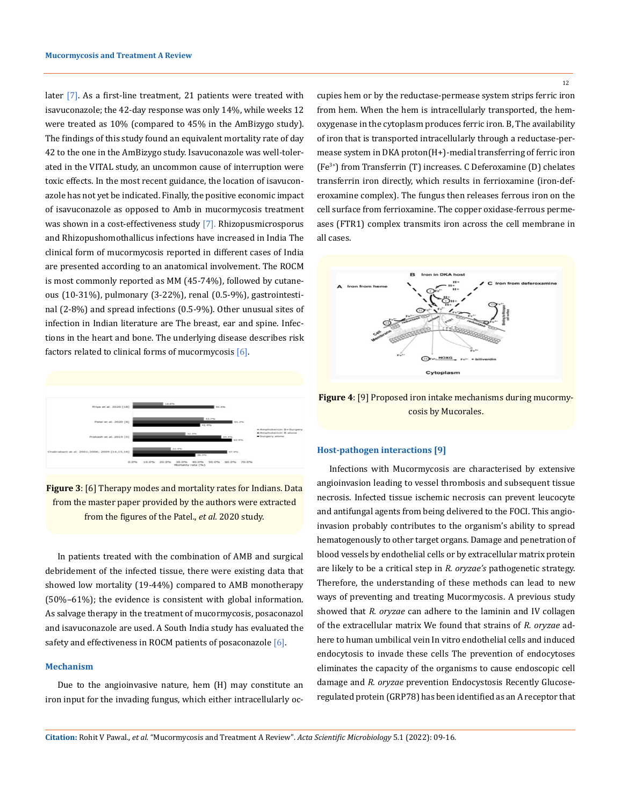later [7]. As a first-line treatment, 21 patients were treated with isavuconazole; the 42-day response was only 14%, while weeks 12 were treated as 10% (compared to 45% in the AmBizygo study). The findings of this study found an equivalent mortality rate of day 42 to the one in the AmBizygo study. Isavuconazole was well-tolerated in the VITAL study, an uncommon cause of interruption were toxic effects. In the most recent guidance, the location of isavuconazole has not yet be indicated. Finally, the positive economic impact of isavuconazole as opposed to Amb in mucormycosis treatment was shown in a cost-effectiveness study [7]. Rhizopusmicrosporus and Rhizopushomothallicus infections have increased in India The clinical form of mucormycosis reported in different cases of India are presented according to an anatomical involvement. The ROCM is most commonly reported as MM (45-74%), followed by cutaneous (10-31%), pulmonary (3-22%), renal (0.5-9%), gastrointestinal (2-8%) and spread infections (0.5-9%). Other unusual sites of infection in Indian literature are The breast, ear and spine. Infections in the heart and bone. The underlying disease describes risk factors related to clinical forms of mucormycosis [6].



**Figure 3**: [6] Therapy modes and mortality rates for Indians. Data from the master paper provided by the authors were extracted from the figures of the Patel., *et al.* 2020 study.

In patients treated with the combination of AMB and surgical debridement of the infected tissue, there were existing data that showed low mortality (19-44%) compared to AMB monotherapy (50%–61%); the evidence is consistent with global information. As salvage therapy in the treatment of mucormycosis, posaconazol and isavuconazole are used. A South India study has evaluated the safety and effectiveness in ROCM patients of posaconazole  $[6]$ .

## **Mechanism**

Due to the angioinvasive nature, hem (H) may constitute an iron input for the invading fungus, which either intracellularly occupies hem or by the reductase-permease system strips ferric iron from hem. When the hem is intracellularly transported, the hemoxygenase in the cytoplasm produces ferric iron. B, The availability of iron that is transported intracellularly through a reductase-permease system in DKA proton(H+)-medial transferring of ferric iron (Fe3+) from Transferrin (T) increases. C Deferoxamine (D) chelates transferrin iron directly, which results in ferrioxamine (iron-deferoxamine complex). The fungus then releases ferrous iron on the cell surface from ferrioxamine. The copper oxidase-ferrous permeases (FTR1) complex transmits iron across the cell membrane in all cases.



**Figure 4**: [9] Proposed iron intake mechanisms during mucormycosis by Mucorales.

#### **Host-pathogen interactions [9]**

Infections with Mucormycosis are characterised by extensive angioinvasion leading to vessel thrombosis and subsequent tissue necrosis. Infected tissue ischemic necrosis can prevent leucocyte and antifungal agents from being delivered to the FOCI. This angioinvasion probably contributes to the organism's ability to spread hematogenously to other target organs. Damage and penetration of blood vessels by endothelial cells or by extracellular matrix protein are likely to be a critical step in *R. oryzae's* pathogenetic strategy. Therefore, the understanding of these methods can lead to new ways of preventing and treating Mucormycosis. A previous study showed that *R. oryzae* can adhere to the laminin and IV collagen of the extracellular matrix We found that strains of *R. oryzae* adhere to human umbilical vein In vitro endothelial cells and induced endocytosis to invade these cells The prevention of endocytoses eliminates the capacity of the organisms to cause endoscopic cell damage and *R. oryzae* prevention Endocystosis Recently Glucoseregulated protein (GRP78) has been identified as an A receptor that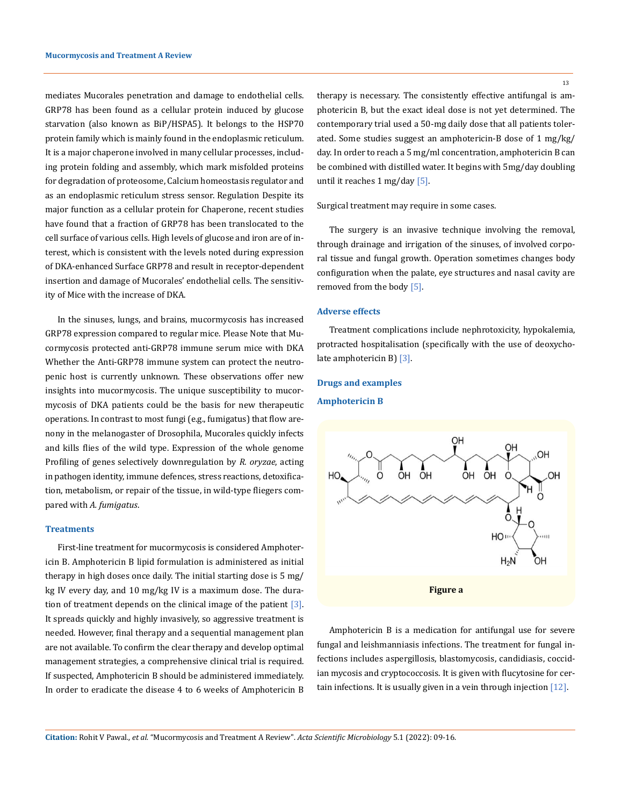mediates Mucorales penetration and damage to endothelial cells. GRP78 has been found as a cellular protein induced by glucose starvation (also known as BiP/HSPA5). It belongs to the HSP70 protein family which is mainly found in the endoplasmic reticulum. It is a major chaperone involved in many cellular processes, including protein folding and assembly, which mark misfolded proteins for degradation of proteosome, Calcium homeostasis regulator and as an endoplasmic reticulum stress sensor. Regulation Despite its major function as a cellular protein for Chaperone, recent studies have found that a fraction of GRP78 has been translocated to the cell surface of various cells. High levels of glucose and iron are of interest, which is consistent with the levels noted during expression of DKA-enhanced Surface GRP78 and result in receptor-dependent insertion and damage of Mucorales' endothelial cells. The sensitivity of Mice with the increase of DKA.

In the sinuses, lungs, and brains, mucormycosis has increased GRP78 expression compared to regular mice. Please Note that Mucormycosis protected anti-GRP78 immune serum mice with DKA Whether the Anti-GRP78 immune system can protect the neutropenic host is currently unknown. These observations offer new insights into mucormycosis. The unique susceptibility to mucormycosis of DKA patients could be the basis for new therapeutic operations. In contrast to most fungi (e.g., fumigatus) that flow arenony in the melanogaster of Drosophila, Mucorales quickly infects and kills flies of the wild type. Expression of the whole genome Profiling of genes selectively downregulation by *R. oryzae*, acting in pathogen identity, immune defences, stress reactions, detoxification, metabolism, or repair of the tissue, in wild-type fliegers compared with *A. fumigatus*.

#### **Treatments**

First-line treatment for mucormycosis is considered Amphotericin B. Amphotericin B lipid formulation is administered as initial therapy in high doses once daily. The initial starting dose is 5 mg/ kg IV every day, and 10 mg/kg IV is a maximum dose. The duration of treatment depends on the clinical image of the patient  $[3]$ . It spreads quickly and highly invasively, so aggressive treatment is needed. However, final therapy and a sequential management plan are not available. To confirm the clear therapy and develop optimal management strategies, a comprehensive clinical trial is required. If suspected, Amphotericin B should be administered immediately. In order to eradicate the disease 4 to 6 weeks of Amphotericin B therapy is necessary. The consistently effective antifungal is amphotericin B, but the exact ideal dose is not yet determined. The contemporary trial used a 50-mg daily dose that all patients tolerated. Some studies suggest an amphotericin-B dose of 1 mg/kg/ day. In order to reach a 5 mg/ml concentration, amphotericin B can be combined with distilled water. It begins with 5mg/day doubling until it reaches 1 mg/day [5].

## Surgical treatment may require in some cases.

The surgery is an invasive technique involving the removal, through drainage and irrigation of the sinuses, of involved corporal tissue and fungal growth. Operation sometimes changes body configuration when the palate, eye structures and nasal cavity are removed from the body [5].

#### **Adverse effects**

Treatment complications include nephrotoxicity, hypokalemia, protracted hospitalisation (specifically with the use of deoxycholate amphotericin B) [3].

### **Drugs and examples**

## **Amphotericin B**



Amphotericin B is a medication for antifungal use for severe fungal and leishmanniasis infections. The treatment for fungal infections includes aspergillosis, blastomycosis, candidiasis, coccidian mycosis and cryptococcosis. It is given with flucytosine for certain infections. It is usually given in a vein through injection [12].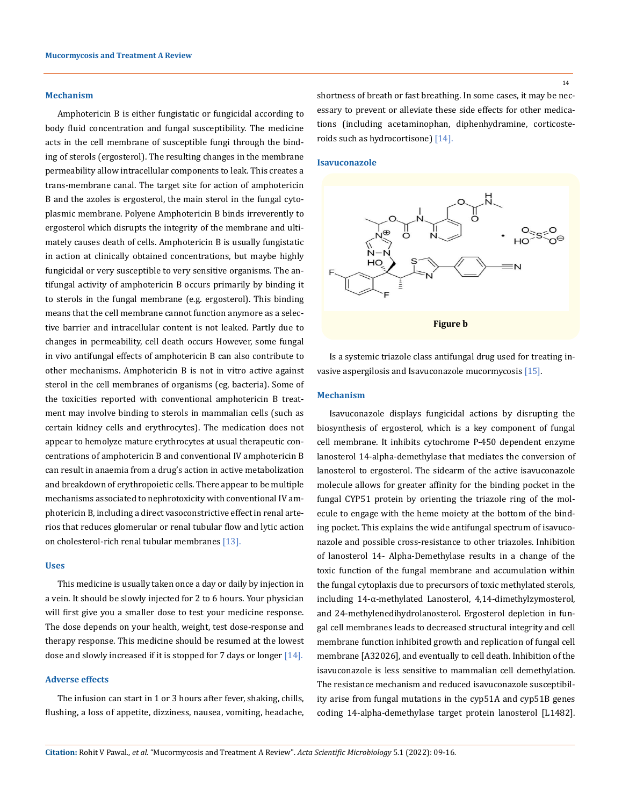## **Mechanism**

Amphotericin B is either fungistatic or fungicidal according to body fluid concentration and fungal susceptibility. The medicine acts in the cell membrane of susceptible fungi through the binding of sterols (ergosterol). The resulting changes in the membrane permeability allow intracellular components to leak. This creates a trans-membrane canal. The target site for action of amphotericin B and the azoles is ergosterol, the main sterol in the fungal cytoplasmic membrane. Polyene Amphotericin B binds irreverently to ergosterol which disrupts the integrity of the membrane and ultimately causes death of cells. Amphotericin B is usually fungistatic in action at clinically obtained concentrations, but maybe highly fungicidal or very susceptible to very sensitive organisms. The antifungal activity of amphotericin B occurs primarily by binding it to sterols in the fungal membrane (e.g. ergosterol). This binding means that the cell membrane cannot function anymore as a selective barrier and intracellular content is not leaked. Partly due to changes in permeability, cell death occurs However, some fungal in vivo antifungal effects of amphotericin B can also contribute to other mechanisms. Amphotericin B is not in vitro active against sterol in the cell membranes of organisms (eg, bacteria). Some of the toxicities reported with conventional amphotericin B treatment may involve binding to sterols in mammalian cells (such as certain kidney cells and erythrocytes). The medication does not appear to hemolyze mature erythrocytes at usual therapeutic concentrations of amphotericin B and conventional IV amphotericin B can result in anaemia from a drug's action in active metabolization and breakdown of erythropoietic cells. There appear to be multiple mechanisms associated to nephrotoxicity with conventional IV amphotericin B, including a direct vasoconstrictive effect in renal arterios that reduces glomerular or renal tubular flow and lytic action on cholesterol-rich renal tubular membranes [13].

#### **Uses**

This medicine is usually taken once a day or daily by injection in a vein. It should be slowly injected for 2 to 6 hours. Your physician will first give you a smaller dose to test your medicine response. The dose depends on your health, weight, test dose-response and therapy response. This medicine should be resumed at the lowest dose and slowly increased if it is stopped for 7 days or longer [14].

# **Adverse effects**

The infusion can start in 1 or 3 hours after fever, shaking, chills, flushing, a loss of appetite, dizziness, nausea, vomiting, headache, 14

shortness of breath or fast breathing. In some cases, it may be necessary to prevent or alleviate these side effects for other medications (including acetaminophan, diphenhydramine, corticosteroids such as hydrocortisone) [14].

### **Isavuconazole**



Is a systemic triazole class antifungal drug used for treating invasive aspergilosis and Isavuconazole mucormycosis [15].

#### **Mechanism**

Isavuconazole displays fungicidal actions by disrupting the biosynthesis of ergosterol, which is a key component of fungal cell membrane. It inhibits cytochrome P-450 dependent enzyme lanosterol 14-alpha-demethylase that mediates the conversion of lanosterol to ergosterol. The sidearm of the active isavuconazole molecule allows for greater affinity for the binding pocket in the fungal CYP51 protein by orienting the triazole ring of the molecule to engage with the heme moiety at the bottom of the binding pocket. This explains the wide antifungal spectrum of isavuconazole and possible cross-resistance to other triazoles. Inhibition of lanosterol 14- Alpha-Demethylase results in a change of the toxic function of the fungal membrane and accumulation within the fungal cytoplaxis due to precursors of toxic methylated sterols, including 14-α-methylated Lanosterol, 4,14-dimethylzymosterol, and 24-methylenedihydrolanosterol. Ergosterol depletion in fungal cell membranes leads to decreased structural integrity and cell membrane function inhibited growth and replication of fungal cell membrane [A32026], and eventually to cell death. Inhibition of the isavuconazole is less sensitive to mammalian cell demethylation. The resistance mechanism and reduced isavuconazole susceptibility arise from fungal mutations in the cyp51A and cyp51B genes coding 14-alpha-demethylase target protein lanosterol [L1482].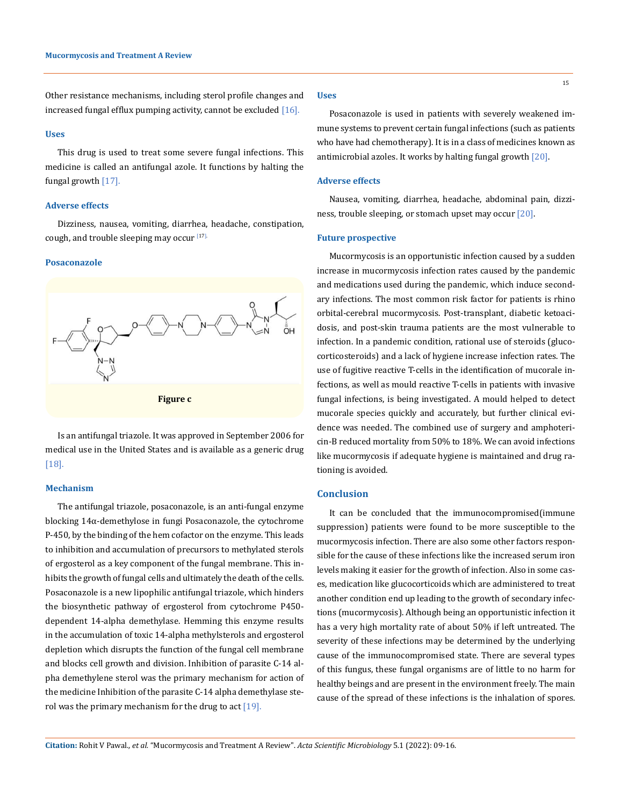Other resistance mechanisms, including sterol profile changes and increased fungal efflux pumping activity, cannot be excluded [16].

#### **Uses**

This drug is used to treat some severe fungal infections. This medicine is called an antifungal azole. It functions by halting the fungal growth  $[17]$ .

## **Adverse effects**

Dizziness, nausea, vomiting, diarrhea, headache, constipation, cough, and trouble sleeping may occur<sup>[17].</sup>

#### **Posaconazole**



Is an antifungal triazole. It was approved in September 2006 for medical use in the United States and is available as a generic drug [18].

#### **Mechanism**

The antifungal triazole, posaconazole, is an anti-fungal enzyme blocking 14α-demethylose in fungi Posaconazole, the cytochrome P-450, by the binding of the hem cofactor on the enzyme. This leads to inhibition and accumulation of precursors to methylated sterols of ergosterol as a key component of the fungal membrane. This inhibits the growth of fungal cells and ultimately the death of the cells. Posaconazole is a new lipophilic antifungal triazole, which hinders the biosynthetic pathway of ergosterol from cytochrome P450 dependent 14-alpha demethylase. Hemming this enzyme results in the accumulation of toxic 14-alpha methylsterols and ergosterol depletion which disrupts the function of the fungal cell membrane and blocks cell growth and division. Inhibition of parasite C-14 alpha demethylene sterol was the primary mechanism for action of the medicine Inhibition of the parasite C-14 alpha demethylase sterol was the primary mechanism for the drug to act  $[19]$ .

#### **Uses**

Posaconazole is used in patients with severely weakened immune systems to prevent certain fungal infections (such as patients who have had chemotherapy). It is in a class of medicines known as antimicrobial azoles. It works by halting fungal growth [20].

#### **Adverse effects**

Nausea, vomiting, diarrhea, headache, abdominal pain, dizziness, trouble sleeping, or stomach upset may occur [20].

#### **Future prospective**

Mucormycosis is an opportunistic infection caused by a sudden increase in mucormycosis infection rates caused by the pandemic and medications used during the pandemic, which induce secondary infections. The most common risk factor for patients is rhino orbital-cerebral mucormycosis. Post-transplant, diabetic ketoacidosis, and post-skin trauma patients are the most vulnerable to infection. In a pandemic condition, rational use of steroids (glucocorticosteroids) and a lack of hygiene increase infection rates. The use of fugitive reactive T-cells in the identification of mucorale infections, as well as mould reactive T-cells in patients with invasive fungal infections, is being investigated. A mould helped to detect mucorale species quickly and accurately, but further clinical evidence was needed. The combined use of surgery and amphotericin-B reduced mortality from 50% to 18%. We can avoid infections like mucormycosis if adequate hygiene is maintained and drug rationing is avoided.

### **Conclusion**

It can be concluded that the immunocompromised(immune suppression) patients were found to be more susceptible to the mucormycosis infection. There are also some other factors responsible for the cause of these infections like the increased serum iron levels making it easier for the growth of infection. Also in some cases, medication like glucocorticoids which are administered to treat another condition end up leading to the growth of secondary infections (mucormycosis). Although being an opportunistic infection it has a very high mortality rate of about 50% if left untreated. The severity of these infections may be determined by the underlying cause of the immunocompromised state. There are several types of this fungus, these fungal organisms are of little to no harm for healthy beings and are present in the environment freely. The main cause of the spread of these infections is the inhalation of spores.